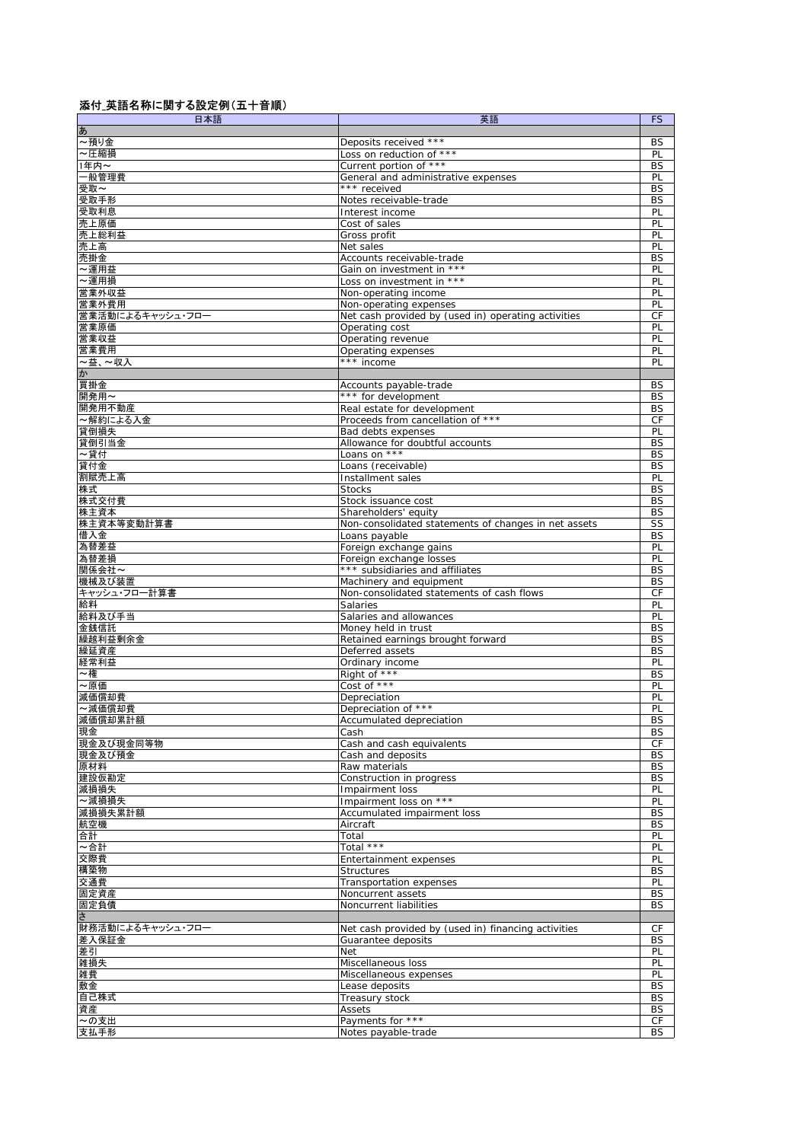## 添付\_英語名称に関する設定例(五十音順)

| 日本語              | 英語                                                                            | <b>FS</b>       |
|------------------|-------------------------------------------------------------------------------|-----------------|
| ぁ                |                                                                               |                 |
| ~預り金             | Deposits received ***                                                         | BS              |
| ~圧縮損             | Loss on reduction of ***                                                      | PL              |
| 1年内~             | Current portion of ***                                                        | <b>BS</b>       |
| 一般管理費            | General and administrative expenses                                           | PL              |
| 受取~              | *** received                                                                  | BS              |
| 受取手形             | Notes receivable-trade                                                        | <b>BS</b>       |
| 受取利息             | Interest income                                                               | PL              |
| 売上原価             | Cost of sales                                                                 | PL              |
| 売上総利益            | Gross profit                                                                  | PL              |
| 売上高              | Net sales                                                                     | PL              |
| 売掛金              | Accounts receivable-trade                                                     | BS              |
| ~運用益             | Gain on investment in ***                                                     | PL              |
| ~運用損             | Loss on investment in ***                                                     | PL              |
| 営業外収益<br>営業外費用   | Non-operating income                                                          | PL<br>PL        |
| 営業活動によるキャッシュ・フロ  | Non-operating expenses<br>Net cash provided by (used in) operating activities | CF              |
| 営業原価             | Operating cost                                                                | PL              |
| 営業収益             | Operating revenue                                                             | PL              |
| 営業費用             |                                                                               |                 |
| ~益、~収入           | Operating expenses<br>$***$ income                                            | PL<br>PL        |
| か                |                                                                               |                 |
| 買掛金              | Accounts payable-trade                                                        | BS              |
| 開発用~             | *** for development                                                           | BS              |
| 開発用不動産           | Real estate for development                                                   | BS              |
| ~解約による入金         | Proceeds from cancellation of ***                                             | CF              |
| 貸倒損失             | Bad debts expenses                                                            | PL              |
| 貸倒引当金            | Allowance for doubtful accounts                                               | BS              |
| ~貸付              | Loans on ***                                                                  | <b>BS</b>       |
| 貸付金              | Loans (receivable)                                                            | <b>BS</b>       |
| 割賦売上高            | Installment sales                                                             | PL              |
| 株式               | <b>Stocks</b>                                                                 | BS              |
| 株式交付費            | Stock issuance cost                                                           | <b>BS</b>       |
| 株主資本             | Shareholders' equity                                                          | BS              |
| 株主資本等変動計算書       | Non-consolidated statements of changes in net assets                          | SS              |
| 借入金              | Loans payable                                                                 | <b>BS</b>       |
| 為替差益             | Foreign exchange gains                                                        | PL              |
| 為替差損             | Foreign exchange losses                                                       | PL              |
| 関係会社~            | *** subsidiaries and affiliates                                               | BS              |
| 機械及び装置           | Machinery and equipment                                                       | <b>BS</b>       |
| キャッシュ・フロー計算書     | Non-consolidated statements of cash flows                                     | CF              |
| 給料               | <b>Salaries</b>                                                               | PL              |
| 給料及び手当           | Salaries and allowances                                                       | PL              |
| 金銭信託             | Money held in trust                                                           | BS              |
| 繰越利益剰余金          | Retained earnings brought forward                                             | BS              |
| 繰延資産             | Deferred assets                                                               | BS              |
| 経常利益             | Ordinary income                                                               | PL              |
| ~権               | Right of ***                                                                  | <b>BS</b>       |
| ~原価              | Cost of ***                                                                   | PL              |
| 減価償却費            | Depreciation                                                                  | PL              |
| ~減価償却費           | Depreciation of ***                                                           | PL              |
| 減価償却累計額          | Accumulated depreciation                                                      | <b>BS</b>       |
| 現金               | Cash                                                                          | BS              |
| 現金及び現金同等物        | Cash and cash equivalents                                                     | CF              |
| 現金及び預金           | Cash and deposits                                                             | BS              |
| 原材料              | Raw materials                                                                 | BS              |
| 建設仮勘定            | Construction in progress                                                      | BS              |
| 減損損失             | Impairment loss                                                               | PL              |
| ~減損損失            | Impairment loss on ***                                                        | PL              |
| 減損損失累計額          | Accumulated impairment loss                                                   | BS              |
| 航空機              | Aircraft                                                                      | BS              |
| 合計               | Total                                                                         | PL              |
| ~合計              | Total ***                                                                     | PL              |
| 交際費              | Entertainment expenses                                                        | PL              |
| 構築物              | Structures                                                                    | BS              |
| 交通費              | Transportation expenses                                                       | PL              |
| 固定資産             | Noncurrent assets                                                             | BS              |
| 固定負債             | Noncurrent liabilities                                                        | BS              |
| $\overline{5}$   |                                                                               |                 |
| 財務活動によるキャッシュ・フロー | Net cash provided by (used in) financing activities                           | СF              |
| 差入保証金            | Guarantee deposits                                                            | BS              |
| 差引               | Net                                                                           | PL              |
| 雑損失<br>雑費        | Miscellaneous loss<br>Miscellaneous expenses                                  | PL<br>PL        |
| 敷金               | Lease deposits                                                                | BS              |
| 自己株式             | Treasury stock                                                                | <b>BS</b>       |
|                  | Assets                                                                        |                 |
| 資産<br>~の支出       | Payments for ***                                                              | BS              |
| 支払手形             | Notes payable-trade                                                           | СF<br><b>BS</b> |
|                  |                                                                               |                 |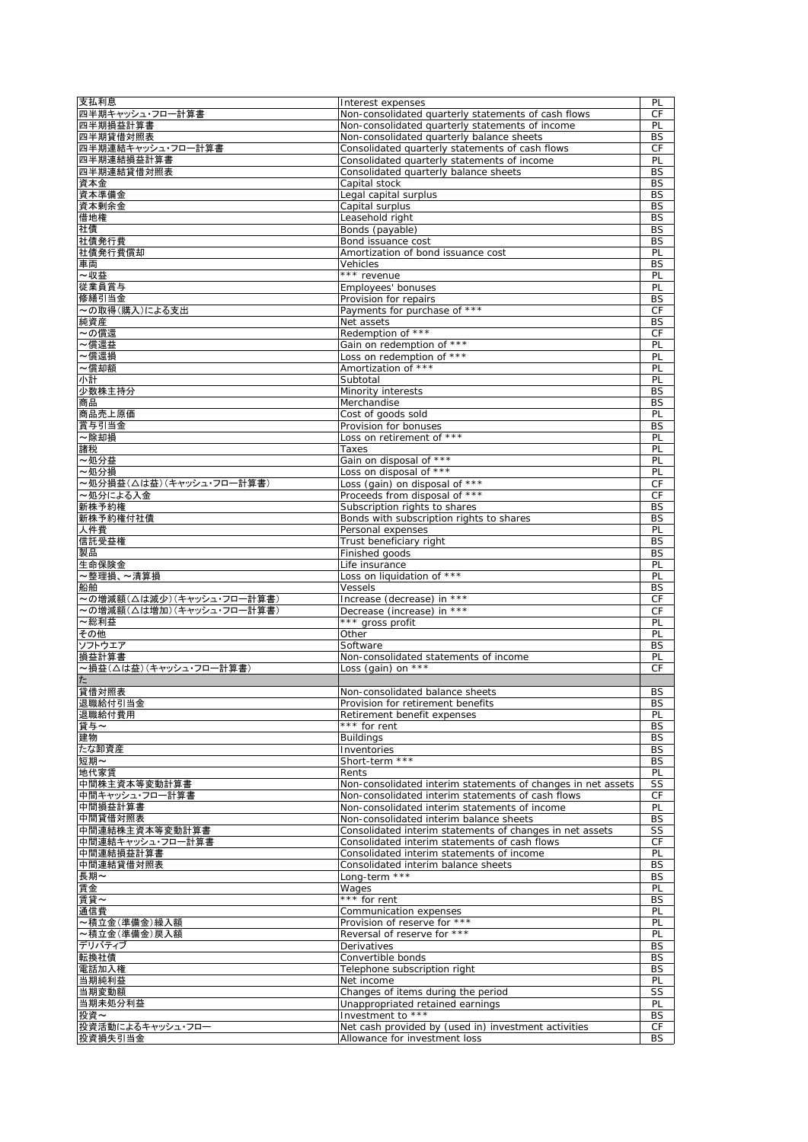| 支払利息                      | Interest expenses                                                                            | PL        |
|---------------------------|----------------------------------------------------------------------------------------------|-----------|
| 四半期キャッシュ・フロー計算書           | Non-consolidated quarterly statements of cash flows                                          | <b>CF</b> |
| 四半期損益計算書<br>四半期貸借対照表      | Non-consolidated quarterly statements of income                                              | PL        |
| 四半期連結キャッシュ・フロー計算書         | Non-consolidated quarterly balance sheets<br>Consolidated quarterly statements of cash flows | BS<br>СF  |
| 四半期連結損益計算書                | Consolidated quarterly statements of income                                                  | PL        |
| 四半期連結貸借対照表                | Consolidated quarterly balance sheets                                                        | <b>BS</b> |
| 資本金                       | Capital stock                                                                                | BS        |
| 資本準備金                     | Legal capital surplus                                                                        | <b>BS</b> |
| 資本剰余金                     | Capital surplus                                                                              | <b>BS</b> |
| 借地権                       | Leasehold right                                                                              | BS        |
| 社債                        | Bonds (payable)                                                                              | <b>BS</b> |
| 社債発行費                     | Bond issuance cost                                                                           | BS        |
| 社債発行費償却                   | Amortization of bond issuance cost                                                           | PL        |
| 車両                        | Vehicles                                                                                     | BS        |
| ~収益                       | *** revenue                                                                                  | PL        |
| 従業員賞与                     | Employees' bonuses                                                                           | PL        |
| 修繕引当金                     | Provision for repairs                                                                        | BS        |
| ~の取得(購入)による支出             | Payments for purchase of ***                                                                 | СF        |
| 純資産                       | Net assets<br>Redemption of ***                                                              | BS        |
| ~の償還<br>~償還益              |                                                                                              | CF        |
| ~償還損                      | Gain on redemption of ***<br>Loss on redemption of ***                                       | PL<br>PL  |
| ~償却額                      | Amortization of ***                                                                          | PL        |
| 小計                        | Subtotal                                                                                     | PL        |
| 少数株主持分                    | Minority interests                                                                           | <b>BS</b> |
| 商品                        | Merchandise                                                                                  | BS        |
| 商品売上原価                    | Cost of goods sold                                                                           | PL        |
| 賞与引当金                     | Provision for bonuses                                                                        | <b>BS</b> |
| ~除却損                      | Loss on retirement of ***                                                                    | PL        |
| 諸税                        | Taxes                                                                                        | PL        |
| ~処分益                      | Gain on disposal of ***                                                                      | PL        |
| ~処分損                      | Loss on disposal of ***                                                                      | PL        |
| 〜処分損益(△は益)(キャッシュ・フロー計算書)  | Loss (gain) on disposal of ***                                                               | CF        |
| ~処分による入金                  | Proceeds from disposal of ***                                                                | СF        |
| 新株予約権                     | Subscription rights to shares                                                                | <b>BS</b> |
| 新株予約権付社債                  | Bonds with subscription rights to shares                                                     | <b>BS</b> |
| 人件費                       | Personal expenses                                                                            | PL        |
| 信託受益権                     | Trust beneficiary right                                                                      | BS        |
| 製品<br>生命保険金               | Finished goods                                                                               | BS        |
| ~整理損、~清算損                 | Life insurance<br>Loss on liquidation of ***                                                 | PL<br>PL  |
| 船舶                        | Vessels                                                                                      | <b>BS</b> |
| ~の増減額(△は減少)(キャッシュ・フロー計算書) | Increase (decrease) in ***                                                                   | СF        |
| ~の増減額(△は増加)(キャッシュ・フロー計算書) | Decrease (increase) in ***                                                                   | CF        |
| ~総利益                      | *** gross profit                                                                             | PL        |
| その他                       | Other                                                                                        | PL        |
| ソフトウエア                    | Software                                                                                     | <b>BS</b> |
| 損益計算書                     | Non-consolidated statements of income                                                        | PL        |
| ~損益(△は益)(キャッシュ・フロー計算書)    | Loss (gain) on $***$                                                                         | <b>CF</b> |
| た                         |                                                                                              |           |
| 貸借対照表                     | Non-consolidated balance sheets                                                              | BS        |
| 退職給付引当金                   | Provision for retirement benefits                                                            | <b>BS</b> |
| 退職給付費用                    | Retirement benefit expenses                                                                  | PL        |
| 貸与~                       | *** for rent                                                                                 | BS        |
| 建物                        | <b>Buildings</b>                                                                             | BS        |
| たな卸資産<br>短期~              | Inventories<br>Short-term ***                                                                | BS<br>BS  |
| 地代家賃                      | Rents                                                                                        | PL        |
| 中間株主資本等変動計算書              | Non-consolidated interim statements of changes in net assets                                 | SS        |
| 中間キャッシュ・フロー計算書            | Non-consolidated interim statements of cash flows                                            | СF        |
| 中間損益計算書                   | Non-consolidated interim statements of income                                                | PL        |
| 中間貸借対照表                   | Non-consolidated interim balance sheets                                                      | BS        |
| 中間連結株主資本等変動計算書            |                                                                                              | SS        |
| 中間連結キャッシュ・フロー計算書          | Consolidated interim statements of changes in net assets                                     |           |
|                           | Consolidated interim statements of cash flows                                                | CF        |
| 中間連結損益計算書                 | Consolidated interim statements of income                                                    | PL        |
| 中間連結貸借対照表                 | Consolidated interim balance sheets                                                          | <b>BS</b> |
| 長期~                       | Long-term ***                                                                                | BS        |
| 賃金                        | Wages                                                                                        | PL        |
| 賃貸~                       | *** for rent                                                                                 | <b>BS</b> |
| 通信費                       | Communication expenses                                                                       | PL        |
| ~積立金(準備金)繰入額              | Provision of reserve for ***                                                                 | PL        |
| ~積立金(準備金)戻入額              | Reversal of reserve for ***                                                                  | PL        |
| デリバティブ                    | Derivatives                                                                                  | <b>BS</b> |
| 転換社債                      | Convertible bonds                                                                            | <b>BS</b> |
| 電話加入権                     | Telephone subscription right                                                                 | <b>BS</b> |
| 当期純利益                     | Net income                                                                                   | PL        |
| 当期変動額<br>当期未処分利益          | Changes of items during the period<br>Unappropriated retained earnings                       | SS<br>PL  |
| 投資~                       | Investment to ***                                                                            | BS        |
| 投資活動によるキャッシュ・フロー          | Net cash provided by (used in) investment activities<br>Allowance for investment loss        | СF        |